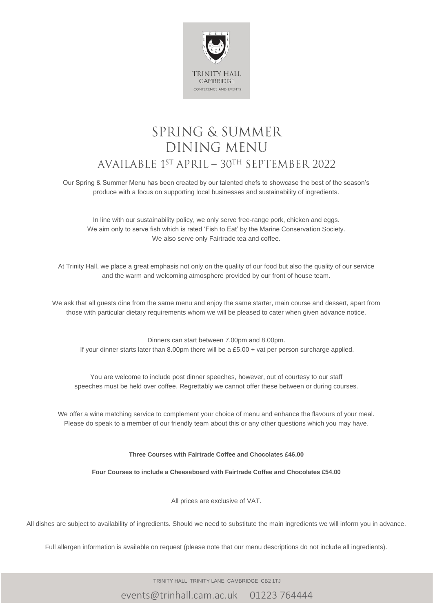

## SPRING & SUMMER DINING MENU AVAILABLE  $1^{ST}$  APRIL –  $30^{TH}$  SEPTEMBER 2022

Our Spring & Summer Menu has been created by our talented chefs to showcase the best of the season's produce with a focus on supporting local businesses and sustainability of ingredients.

In line with our sustainability policy, we only serve free-range pork, chicken and eggs. We aim only to serve fish which is rated 'Fish to Eat' by the Marine Conservation Society. We also serve only Fairtrade tea and coffee.

At Trinity Hall, we place a great emphasis not only on the quality of our food but also the quality of our service and the warm and welcoming atmosphere provided by our front of house team.

We ask that all guests dine from the same menu and enjoy the same starter, main course and dessert, apart from those with particular dietary requirements whom we will be pleased to cater when given advance notice.

Dinners can start between 7.00pm and 8.00pm. If your dinner starts later than 8.00pm there will be a £5.00 + vat per person surcharge applied.

You are welcome to include post dinner speeches, however, out of courtesy to our staff speeches must be held over coffee. Regrettably we cannot offer these between or during courses.

We offer a wine matching service to complement your choice of menu and enhance the flavours of your meal. Please do speak to a member of our friendly team about this or any other questions which you may have.

#### **Three Courses with Fairtrade Coffee and Chocolates £46.00**

**Four Courses to include a Cheeseboard with Fairtrade Coffee and Chocolates £54.00**

All prices are exclusive of VAT.

All dishes are subject to availability of ingredients. Should we need to substitute the main ingredients we will inform you in advance.

Full allergen information is available on request (please note that our menu descriptions do not include all ingredients).

TRINITY HALL TRINITY LANE CAMBRIDGE CB2 1TJ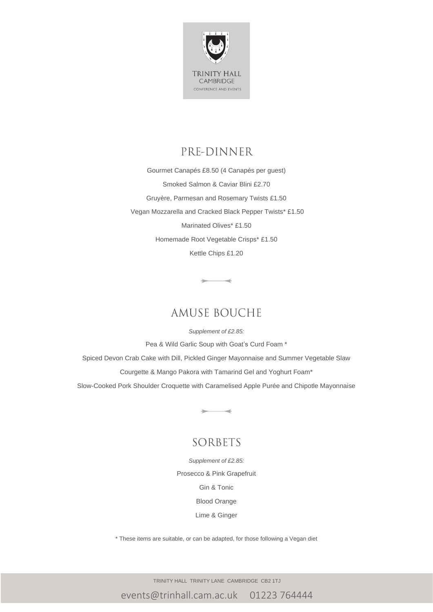

## PRE-DINNER

Gourmet Canapés £8.50 (4 Canapés per guest) Smoked Salmon & Caviar Blini £2.70 Gruyère, Parmesan and Rosemary Twists £1.50 Vegan Mozzarella and Cracked Black Pepper Twists\* £1.50 Marinated Olives\* £1.50 Homemade Root Vegetable Crisps\* £1.50 Kettle Chips £1.20

## **AMUSE BOUCHE**

 $\overline{\phantom{a}}$ 

*Supplement of £2.85:* Pea & Wild Garlic Soup with Goat's Curd Foam \* Spiced Devon Crab Cake with Dill, Pickled Ginger Mayonnaise and Summer Vegetable Slaw Courgette & Mango Pakora with Tamarind Gel and Yoghurt Foam\* Slow-Cooked Pork Shoulder Croquette with Caramelised Apple Purée and Chipotle Mayonnaise

## SORBETS

 $\rightarrow$ 

*Supplement of £2.85:* Prosecco & Pink Grapefruit Gin & Tonic Blood Orange Lime & Ginger

\* These items are suitable, or can be adapted, for those following a Vegan diet

TRINITY HALL TRINITY LANE CAMBRIDGE CB2 1TJ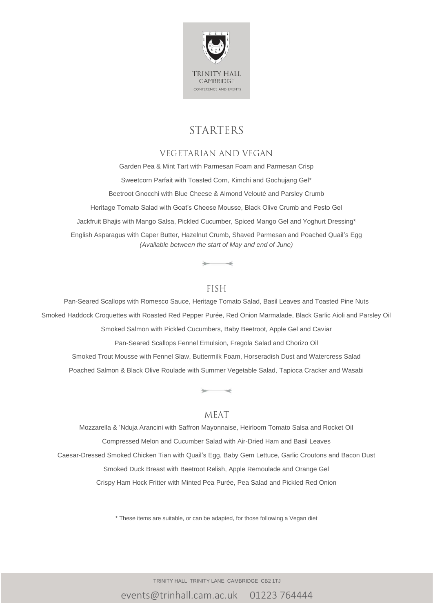

## **STARTERS**

### **VEGETARIAN AND VEGAN**

Garden Pea & Mint Tart with Parmesan Foam and Parmesan Crisp Sweetcorn Parfait with Toasted Corn, Kimchi and Gochujang Gel\* Beetroot Gnocchi with Blue Cheese & Almond Velouté and Parsley Crumb Heritage Tomato Salad with Goat's Cheese Mousse, Black Olive Crumb and Pesto Gel Jackfruit Bhajis with Mango Salsa, Pickled Cucumber, Spiced Mango Gel and Yoghurt Dressing\* English Asparagus with Caper Butter, Hazelnut Crumb, Shaved Parmesan and Poached Quail's Egg *(Available between the start of May and end of June)*

#### **FISH**

Pan-Seared Scallops with Romesco Sauce, Heritage Tomato Salad, Basil Leaves and Toasted Pine Nuts Smoked Haddock Croquettes with Roasted Red Pepper Purée, Red Onion Marmalade, Black Garlic Aioli and Parsley Oil Smoked Salmon with Pickled Cucumbers, Baby Beetroot, Apple Gel and Caviar Pan-Seared Scallops Fennel Emulsion, Fregola Salad and Chorizo Oil

Smoked Trout Mousse with Fennel Slaw, Buttermilk Foam, Horseradish Dust and Watercress Salad Poached Salmon & Black Olive Roulade with Summer Vegetable Salad, Tapioca Cracker and Wasabi

#### MEAT

Mozzarella & 'Nduja Arancini with Saffron Mayonnaise, Heirloom Tomato Salsa and Rocket Oil Compressed Melon and Cucumber Salad with Air-Dried Ham and Basil Leaves Caesar-Dressed Smoked Chicken Tian with Quail's Egg, Baby Gem Lettuce, Garlic Croutons and Bacon Dust Smoked Duck Breast with Beetroot Relish, Apple Remoulade and Orange Gel Crispy Ham Hock Fritter with Minted Pea Purée, Pea Salad and Pickled Red Onion

\* These items are suitable, or can be adapted, for those following a Vegan diet

TRINITY HALL TRINITY LANE CAMBRIDGE CB2 1TJ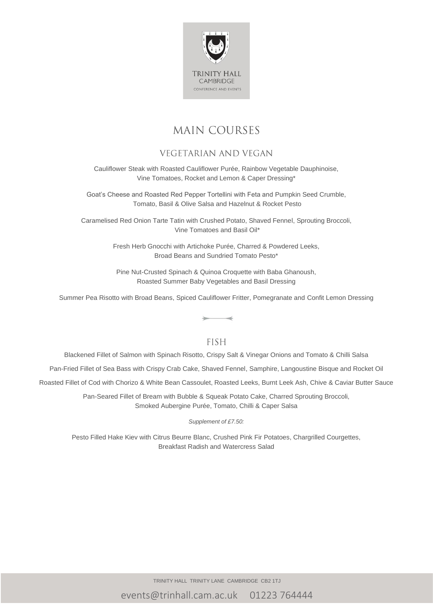

## **MAIN COURSES**

### **VEGETARIAN AND VEGAN**

Cauliflower Steak with Roasted Cauliflower Purée, Rainbow Vegetable Dauphinoise, Vine Tomatoes, Rocket and Lemon & Caper Dressing\*

Goat's Cheese and Roasted Red Pepper Tortellini with Feta and Pumpkin Seed Crumble, Tomato, Basil & Olive Salsa and Hazelnut & Rocket Pesto

Caramelised Red Onion Tarte Tatin with Crushed Potato, Shaved Fennel, Sprouting Broccoli, Vine Tomatoes and Basil Oil\*

> Fresh Herb Gnocchi with Artichoke Purée, Charred & Powdered Leeks, Broad Beans and Sundried Tomato Pesto\*

Pine Nut-Crusted Spinach & Quinoa Croquette with Baba Ghanoush, Roasted Summer Baby Vegetables and Basil Dressing

Summer Pea Risotto with Broad Beans, Spiced Cauliflower Fritter, Pomegranate and Confit Lemon Dressing

#### **FISH**

Blackened Fillet of Salmon with Spinach Risotto, Crispy Salt & Vinegar Onions and Tomato & Chilli Salsa

Pan-Fried Fillet of Sea Bass with Crispy Crab Cake, Shaved Fennel, Samphire, Langoustine Bisque and Rocket Oil

Roasted Fillet of Cod with Chorizo & White Bean Cassoulet, Roasted Leeks, Burnt Leek Ash, Chive & Caviar Butter Sauce

Pan-Seared Fillet of Bream with Bubble & Squeak Potato Cake, Charred Sprouting Broccoli, Smoked Aubergine Purée, Tomato, Chilli & Caper Salsa

*Supplement of £7.50:*

Pesto Filled Hake Kiev with Citrus Beurre Blanc, Crushed Pink Fir Potatoes, Chargrilled Courgettes, Breakfast Radish and Watercress Salad

TRINITY HALL TRINITY LANE CAMBRIDGE CB2 1TJ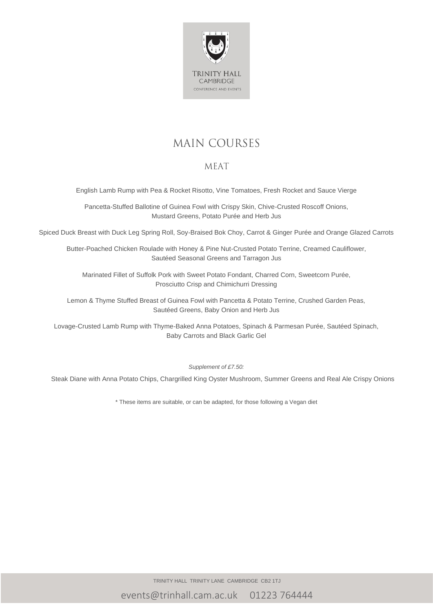

# **MAIN COURSES**

### MEAT

English Lamb Rump with Pea & Rocket Risotto, Vine Tomatoes, Fresh Rocket and Sauce Vierge

Pancetta-Stuffed Ballotine of Guinea Fowl with Crispy Skin, Chive-Crusted Roscoff Onions, Mustard Greens, Potato Purée and Herb Jus

Spiced Duck Breast with Duck Leg Spring Roll, Soy-Braised Bok Choy, Carrot & Ginger Purée and Orange Glazed Carrots

Butter-Poached Chicken Roulade with Honey & Pine Nut-Crusted Potato Terrine, Creamed Cauliflower, Sautéed Seasonal Greens and Tarragon Jus

Marinated Fillet of Suffolk Pork with Sweet Potato Fondant, Charred Corn, Sweetcorn Purée, Prosciutto Crisp and Chimichurri Dressing

Lemon & Thyme Stuffed Breast of Guinea Fowl with Pancetta & Potato Terrine, Crushed Garden Peas, Sautéed Greens, Baby Onion and Herb Jus

Lovage-Crusted Lamb Rump with Thyme-Baked Anna Potatoes, Spinach & Parmesan Purée, Sautéed Spinach, Baby Carrots and Black Garlic Gel

*Supplement of £7.50:*

Steak Diane with Anna Potato Chips, Chargrilled King Oyster Mushroom, Summer Greens and Real Ale Crispy Onions

\* These items are suitable, or can be adapted, for those following a Vegan diet

TRINITY HALL TRINITY LANE CAMBRIDGE CB2 1TJ